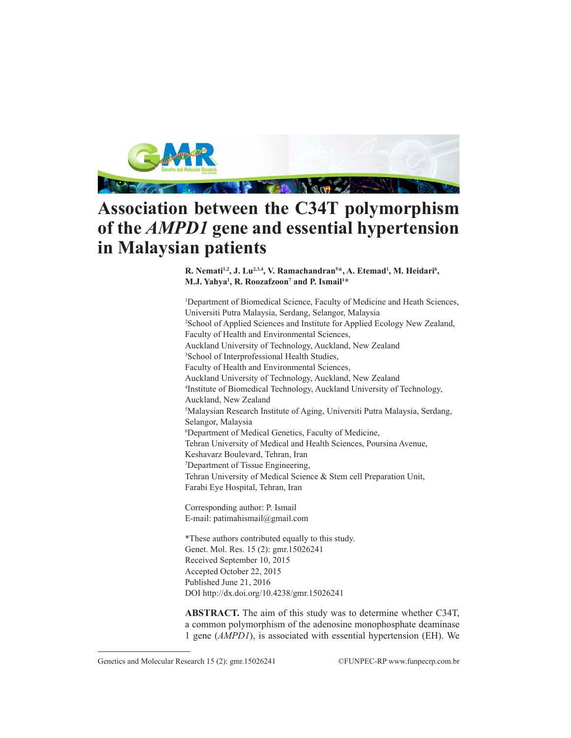

# **Association between the C34T polymorphism of the** *AMPD1* **gene and essential hypertension in Malaysian patients**

R. Nemati<sup>1,2</sup>, J. Lu<sup>2,3,4</sup>, V. Ramachandran<sup>5\*</sup>, A. Etemad<sup>1</sup>, M. Heidari<sup>6</sup>, **M.J. Yahya1 , R. Roozafzoon7 and P. Ismail1 \***

1 Department of Biomedical Science, Faculty of Medicine and Heath Sciences, Universiti Putra Malaysia, Serdang, Selangor, Malaysia 2 School of Applied Sciences and Institute for Applied Ecology New Zealand, Faculty of Health and Environmental Sciences, Auckland University of Technology, Auckland, New Zealand 3 School of Interprofessional Health Studies, Faculty of Health and Environmental Sciences, Auckland University of Technology, Auckland, New Zealand 4 Institute of Biomedical Technology, Auckland University of Technology, Auckland, New Zealand 5 Malaysian Research Institute of Aging, Universiti Putra Malaysia, Serdang, Selangor, Malaysia 6 Department of Medical Genetics, Faculty of Medicine, Tehran University of Medical and Health Sciences, Poursina Avenue, Keshavarz Boulevard, Tehran, Iran 7 Department of Tissue Engineering, Tehran University of Medical Science & Stem cell Preparation Unit, Farabi Eye Hospital, Tehran, Iran

Corresponding author: P. Ismail E-mail: patimahismail@gmail.com

\*These authors contributed equally to this study. Genet. Mol. Res. 15 (2): gmr.15026241 Received September 10, 2015 Accepted October 22, 2015 Published June 21, 2016 DOI http://dx.doi.org/10.4238/gmr.15026241

**ABSTRACT.** The aim of this study was to determine whether C34T, a common polymorphism of the adenosine monophosphate deaminase 1 gene (*AMPD1*), is associated with essential hypertension (EH). We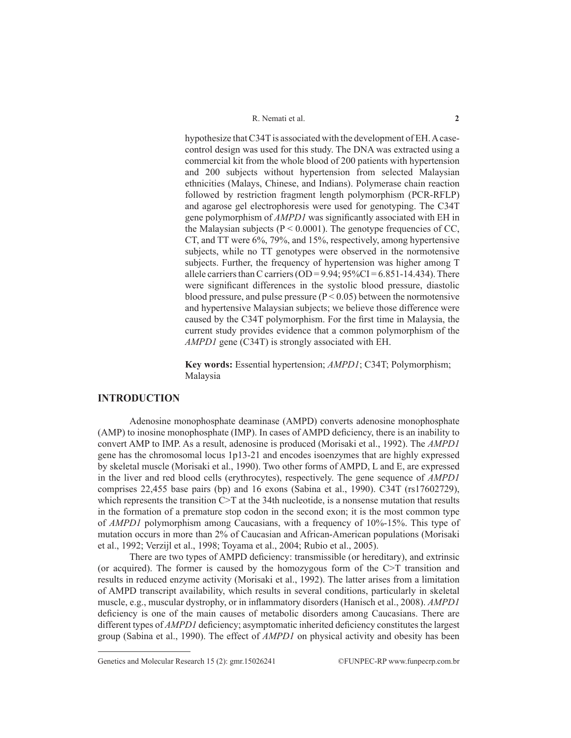hypothesize that C34T is associated with the development of EH. A casecontrol design was used for this study. The DNA was extracted using a commercial kit from the whole blood of 200 patients with hypertension and 200 subjects without hypertension from selected Malaysian ethnicities (Malays, Chinese, and Indians). Polymerase chain reaction followed by restriction fragment length polymorphism (PCR-RFLP) and agarose gel electrophoresis were used for genotyping. The C34T gene polymorphism of *AMPD1* was significantly associated with EH in the Malaysian subjects ( $P < 0.0001$ ). The genotype frequencies of CC, CT, and TT were 6%, 79%, and 15%, respectively, among hypertensive subjects, while no TT genotypes were observed in the normotensive subjects. Further, the frequency of hypertension was higher among T allele carriers than C carriers (OD =  $9.94$ ;  $95\%$ CI =  $6.851$ -14.434). There were significant differences in the systolic blood pressure, diastolic blood pressure, and pulse pressure  $(P < 0.05)$  between the normotensive and hypertensive Malaysian subjects; we believe those difference were caused by the C34T polymorphism. For the first time in Malaysia, the current study provides evidence that a common polymorphism of the *AMPD1* gene (C34T) is strongly associated with EH.

**Key words:** Essential hypertension; *AMPD1*; C34T; Polymorphism; Malaysia

## **INTRODUCTION**

Adenosine monophosphate deaminase (AMPD) converts adenosine monophosphate (AMP) to inosine monophosphate (IMP). In cases of AMPD deficiency, there is an inability to convert AMP to IMP. As a result, adenosine is produced (Morisaki et al., 1992). The *AMPD1* gene has the chromosomal locus 1p13-21 and encodes isoenzymes that are highly expressed by skeletal muscle (Morisaki et al., 1990). Two other forms of AMPD, L and E, are expressed in the liver and red blood cells (erythrocytes), respectively. The gene sequence of *AMPD1* comprises 22,455 base pairs (bp) and 16 exons (Sabina et al., 1990). C34T (rs17602729), which represents the transition C>T at the 34th nucleotide, is a nonsense mutation that results in the formation of a premature stop codon in the second exon; it is the most common type of *AMPD1* polymorphism among Caucasians, with a frequency of 10%-15%. This type of mutation occurs in more than 2% of Caucasian and African-American populations (Morisaki et al., 1992; Verzijl et al., 1998; Toyama et al., 2004; Rubio et al., 2005).

There are two types of AMPD deficiency: transmissible (or hereditary), and extrinsic (or acquired). The former is caused by the homozygous form of the C>T transition and results in reduced enzyme activity (Morisaki et al., 1992). The latter arises from a limitation of AMPD transcript availability, which results in several conditions, particularly in skeletal muscle, e.g., muscular dystrophy, or in inflammatory disorders (Hanisch et al., 2008). *AMPD1* deficiency is one of the main causes of metabolic disorders among Caucasians. There are different types of *AMPD1* deficiency; asymptomatic inherited deficiency constitutes the largest group (Sabina et al., 1990). The effect of *AMPD1* on physical activity and obesity has been

Genetics and Molecular Research 15 (2): gmr.15026241 ©FUNPEC-RP www.funpecrp.com.br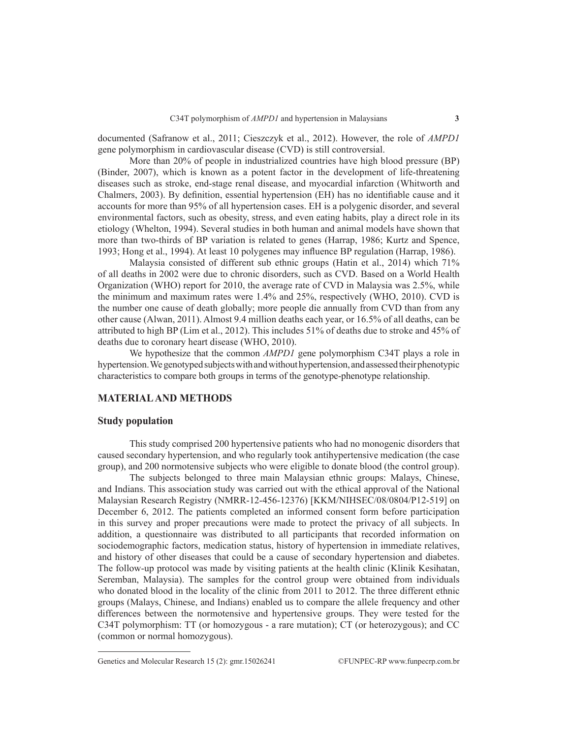documented (Safranow et al., 2011; Cieszczyk et al., 2012). However, the role of *AMPD1* gene polymorphism in cardiovascular disease (CVD) is still controversial.

More than 20% of people in industrialized countries have high blood pressure (BP) (Binder, 2007), which is known as a potent factor in the development of life-threatening diseases such as stroke, end-stage renal disease, and myocardial infarction (Whitworth and Chalmers, 2003). By definition, essential hypertension (EH) has no identifiable cause and it accounts for more than 95% of all hypertension cases. EH is a polygenic disorder, and several environmental factors, such as obesity, stress, and even eating habits, play a direct role in its etiology (Whelton, 1994). Several studies in both human and animal models have shown that more than two-thirds of BP variation is related to genes (Harrap, 1986; Kurtz and Spence, 1993; Hong et al., 1994). At least 10 polygenes may influence BP regulation (Harrap, 1986).

Malaysia consisted of different sub ethnic groups (Hatin et al., 2014) which 71% of all deaths in 2002 were due to chronic disorders, such as CVD. Based on a World Health Organization (WHO) report for 2010, the average rate of CVD in Malaysia was 2.5%, while the minimum and maximum rates were 1.4% and 25%, respectively (WHO, 2010). CVD is the number one cause of death globally; more people die annually from CVD than from any other cause (Alwan, 2011). Almost 9.4 million deaths each year, or 16.5% of all deaths, can be attributed to high BP (Lim et al., 2012). This includes 51% of deaths due to stroke and 45% of deaths due to coronary heart disease (WHO, 2010).

We hypothesize that the common *AMPD1* gene polymorphism C34T plays a role in hypertension. We genotyped subjects with and without hypertension, and assessed their phenotypic characteristics to compare both groups in terms of the genotype-phenotype relationship.

## **MATERIAL AND METHODS**

#### **Study population**

This study comprised 200 hypertensive patients who had no monogenic disorders that caused secondary hypertension, and who regularly took antihypertensive medication (the case group), and 200 normotensive subjects who were eligible to donate blood (the control group).

The subjects belonged to three main Malaysian ethnic groups: Malays, Chinese, and Indians. This association study was carried out with the ethical approval of the National Malaysian Research Registry (NMRR-12-456-12376) [KKM/NIHSEC/08/0804/P12-519] on December 6, 2012. The patients completed an informed consent form before participation in this survey and proper precautions were made to protect the privacy of all subjects. In addition, a questionnaire was distributed to all participants that recorded information on sociodemographic factors, medication status, history of hypertension in immediate relatives, and history of other diseases that could be a cause of secondary hypertension and diabetes. The follow-up protocol was made by visiting patients at the health clinic (Klinik Kesihatan, Seremban, Malaysia). The samples for the control group were obtained from individuals who donated blood in the locality of the clinic from 2011 to 2012. The three different ethnic groups (Malays, Chinese, and Indians) enabled us to compare the allele frequency and other differences between the normotensive and hypertensive groups. They were tested for the C34T polymorphism: TT (or homozygous - a rare mutation); CT (or heterozygous); and CC (common or normal homozygous).

Genetics and Molecular Research 15 (2): gmr.15026241 ©FUNPEC-RP www.funpecrp.com.br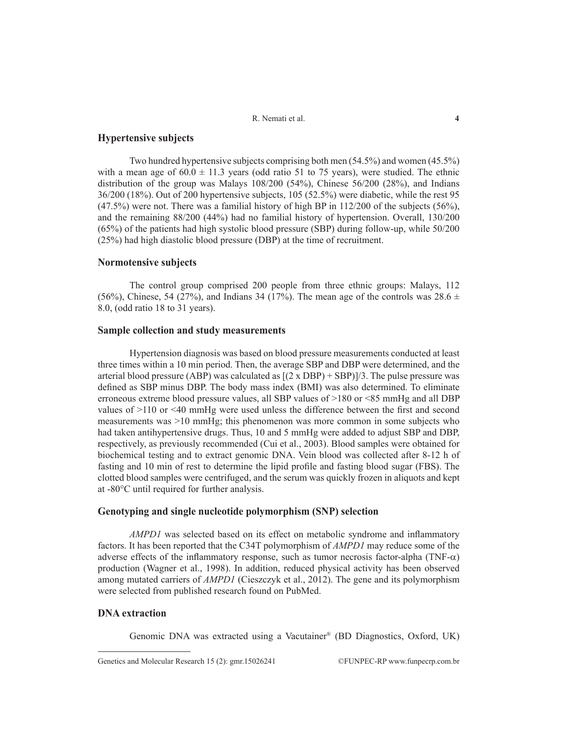# **Hypertensive subjects**

Two hundred hypertensive subjects comprising both men (54.5%) and women (45.5%) with a mean age of  $60.0 \pm 11.3$  years (odd ratio 51 to 75 years), were studied. The ethnic distribution of the group was Malays 108/200 (54%), Chinese 56/200 (28%), and Indians 36/200 (18%). Out of 200 hypertensive subjects, 105 (52.5%) were diabetic, while the rest 95  $(47.5%)$  were not. There was a familial history of high BP in  $112/200$  of the subjects (56%), and the remaining 88/200 (44%) had no familial history of hypertension. Overall, 130/200 (65%) of the patients had high systolic blood pressure (SBP) during follow-up, while 50/200 (25%) had high diastolic blood pressure (DBP) at the time of recruitment.

## **Normotensive subjects**

The control group comprised 200 people from three ethnic groups: Malays, 112 (56%), Chinese, 54 (27%), and Indians 34 (17%). The mean age of the controls was  $28.6 \pm$ 8.0, (odd ratio 18 to 31 years).

#### **Sample collection and study measurements**

Hypertension diagnosis was based on blood pressure measurements conducted at least three times within a 10 min period. Then, the average SBP and DBP were determined, and the arterial blood pressure (ABP) was calculated as  $[(2 \times DBP) + SBP]/3$ . The pulse pressure was defined as SBP minus DBP. The body mass index (BMI) was also determined. To eliminate erroneous extreme blood pressure values, all SBP values of >180 or <85 mmHg and all DBP values of >110 or <40 mmHg were used unless the difference between the first and second measurements was >10 mmHg; this phenomenon was more common in some subjects who had taken antihypertensive drugs. Thus, 10 and 5 mmHg were added to adjust SBP and DBP, respectively, as previously recommended (Cui et al., 2003). Blood samples were obtained for biochemical testing and to extract genomic DNA. Vein blood was collected after 8-12 h of fasting and 10 min of rest to determine the lipid profile and fasting blood sugar (FBS). The clotted blood samples were centrifuged, and the serum was quickly frozen in aliquots and kept at -80°C until required for further analysis.

#### **Genotyping and single nucleotide polymorphism (SNP) selection**

*AMPD1* was selected based on its effect on metabolic syndrome and inflammatory factors. It has been reported that the C34T polymorphism of *AMPD1* may reduce some of the adverse effects of the inflammatory response, such as tumor necrosis factor-alpha (TNF- $\alpha$ ) production (Wagner et al., 1998). In addition, reduced physical activity has been observed among mutated carriers of *AMPD1* (Cieszczyk et al., 2012). The gene and its polymorphism were selected from published research found on PubMed.

#### **DNA extraction**

Genomic DNA was extracted using a Vacutainer® (BD Diagnostics, Oxford, UK)

Genetics and Molecular Research 15 (2): gmr.15026241 ©FUNPEC-RP www.funpecrp.com.br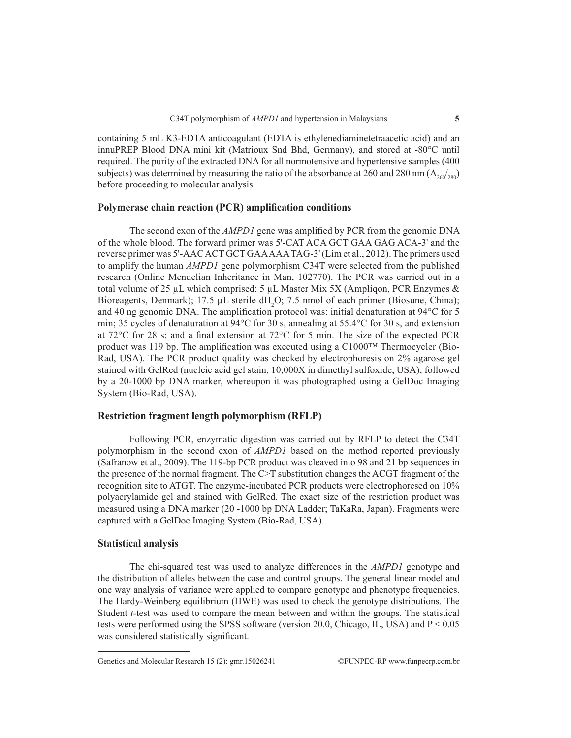containing 5 mL K3-EDTA anticoagulant (EDTA is ethylenediaminetetraacetic acid) and an innuPREP Blood DNA mini kit (Matrioux Snd Bhd, Germany), and stored at -80°C until required. The purity of the extracted DNA for all normotensive and hypertensive samples (400 subjects) was determined by measuring the ratio of the absorbance at 260 and 280 nm ( $A_{260}/_{280}$ ) before proceeding to molecular analysis.

# **Polymerase chain reaction (PCR) amplification conditions**

The second exon of the *AMPD1* gene was amplified by PCR from the genomic DNA of the whole blood. The forward primer was 5'-CAT ACA GCT GAA GAG ACA-3' and the reverse primer was 5'-AAC ACT GCT GAA AAA TAG-3' (Lim et al., 2012). The primers used to amplify the human *AMPD1* gene polymorphism C34T were selected from the published research (Online Mendelian Inheritance in Man, 102770). The PCR was carried out in a total volume of 25  $\mu$ L which comprised: 5  $\mu$ L Master Mix 5X (Ampliqon, PCR Enzymes & Bioreagents, Denmark); 17.5  $\mu$ L sterile dH<sub>2</sub>O; 7.5 nmol of each primer (Biosune, China); and 40 ng genomic DNA. The amplification protocol was: initial denaturation at 94°C for 5 min; 35 cycles of denaturation at 94°C for 30 s, annealing at 55.4°C for 30 s, and extension at 72°C for 28 s; and a final extension at 72°C for 5 min. The size of the expected PCR product was 119 bp. The amplification was executed using a C1000™ Thermocycler (Bio-Rad, USA). The PCR product quality was checked by electrophoresis on 2% agarose gel stained with GelRed (nucleic acid gel stain, 10,000X in dimethyl sulfoxide, USA), followed by a 20-1000 bp DNA marker, whereupon it was photographed using a GelDoc Imaging System (Bio-Rad, USA).

# **Restriction fragment length polymorphism (RFLP)**

Following PCR, enzymatic digestion was carried out by RFLP to detect the C34T polymorphism in the second exon of *AMPD1* based on the method reported previously (Safranow et al., 2009). The 119-bp PCR product was cleaved into 98 and 21 bp sequences in the presence of the normal fragment. The C>T substitution changes the ACGT fragment of the recognition site to ATGT. The enzyme-incubated PCR products were electrophoresed on 10% polyacrylamide gel and stained with GelRed. The exact size of the restriction product was measured using a DNA marker (20 -1000 bp DNA Ladder; TaKaRa, Japan). Fragments were captured with a GelDoc Imaging System (Bio-Rad, USA).

## **Statistical analysis**

The chi-squared test was used to analyze differences in the *AMPD1* genotype and the distribution of alleles between the case and control groups. The general linear model and one way analysis of variance were applied to compare genotype and phenotype frequencies. The Hardy-Weinberg equilibrium (HWE) was used to check the genotype distributions. The Student *t*-test was used to compare the mean between and within the groups. The statistical tests were performed using the SPSS software (version 20.0, Chicago, IL, USA) and  $P < 0.05$ was considered statistically significant.

Genetics and Molecular Research 15 (2): gmr.15026241 ©FUNPEC-RP www.funpecrp.com.br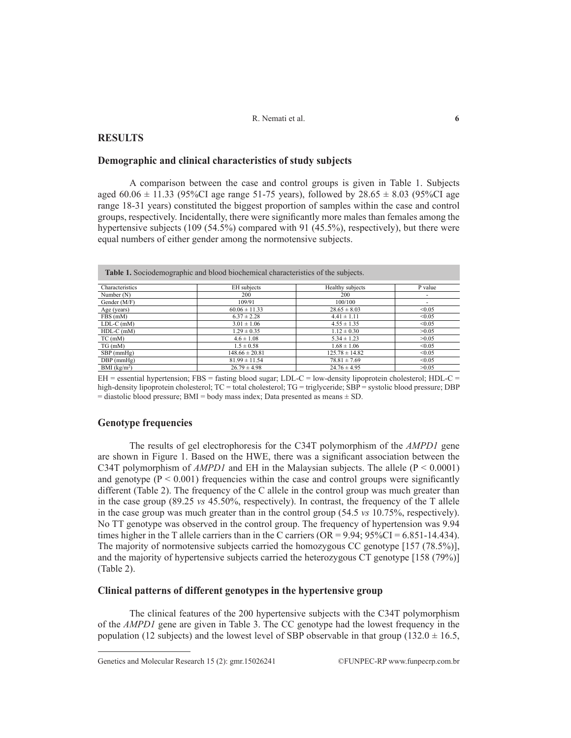# **RESULTS**

## **Demographic and clinical characteristics of study subjects**

A comparison between the case and control groups is given in Table 1. Subjects aged  $60.06 \pm 11.33$  (95%CI age range 51-75 years), followed by 28.65  $\pm$  8.03 (95%CI age range 18-31 years) constituted the biggest proportion of samples within the case and control groups, respectively. Incidentally, there were significantly more males than females among the hypertensive subjects (109 (54.5%) compared with 91 (45.5%), respectively), but there were equal numbers of either gender among the normotensive subjects.

|                          | <b>Table 1.</b> Sociodemographic and blood biochemical characteristics of the subjects. |                    |         |
|--------------------------|-----------------------------------------------------------------------------------------|--------------------|---------|
| Characteristics          | EH subjects                                                                             | Healthy subjects   | P value |
| Number (N)               | 200                                                                                     | 200                | ٠       |
| Gender (M/F)             | 109/91                                                                                  | 100/100            | ٠       |
| Age (years)              | $60.06 \pm 11.33$                                                                       | $28.65 \pm 8.03$   | < 0.05  |
| FBS (mM)                 | $6.37 \pm 2.28$                                                                         | $4.41 \pm 1.11$    | < 0.05  |
| $LDL-C$ (mM)             | $3.01 \pm 1.06$                                                                         | $4.55 \pm 1.35$    | < 0.05  |
| $HDL-C$ (mM)             | $1.29 \pm 0.35$                                                                         | $1.12 \pm 0.30$    | >0.05   |
| $TC$ (mM)                | $4.6 \pm 1.08$                                                                          | $5.34 \pm 1.23$    | >0.05   |
| TG(mM)                   | $1.5 \pm 0.58$                                                                          | $1.68 \pm 1.06$    | < 0.05  |
| $SBP$ (mmHg)             | $148.66 \pm 20.81$                                                                      | $125.78 \pm 14.82$ | < 0.05  |
| $DBP$ (mmHg)             | $81.99 \pm 11.54$                                                                       | $78.81 \pm 7.69$   | < 0.05  |
| BMI (kg/m <sup>2</sup> ) | $26.79 \pm 4.98$                                                                        | $24.76 \pm 4.95$   | >0.05   |

 $EH$  = essential hypertension; FBS = fasting blood sugar; LDL-C = low-density lipoprotein cholesterol; HDL-C = high-density lipoprotein cholesterol; TC = total cholesterol; TG = triglyceride; SBP = systolic blood pressure; DBP  $=$  diastolic blood pressure; BMI = body mass index; Data presented as means  $\pm$  SD.

# **Genotype frequencies**

The results of gel electrophoresis for the C34T polymorphism of the *AMPD1* gene are shown in Figure 1. Based on the HWE, there was a significant association between the C34T polymorphism of *AMPD1* and EH in the Malaysian subjects. The allele ( $P < 0.0001$ ) and genotype  $(P < 0.001)$  frequencies within the case and control groups were significantly different (Table 2). The frequency of the C allele in the control group was much greater than in the case group (89.25 *vs* 45.50%, respectively). In contrast, the frequency of the T allele in the case group was much greater than in the control group (54.5 *vs* 10.75%, respectively). No TT genotype was observed in the control group. The frequency of hypertension was 9.94 times higher in the T allele carriers than in the C carriers ( $OR = 9.94$ ;  $95\%CI = 6.851 - 14.434$ ). The majority of normotensive subjects carried the homozygous CC genotype [157 (78.5%)], and the majority of hypertensive subjects carried the heterozygous CT genotype [158 (79%)] (Table 2).

# **Clinical patterns of different genotypes in the hypertensive group**

The clinical features of the 200 hypertensive subjects with the C34T polymorphism of the *AMPD1* gene are given in Table 3. The CC genotype had the lowest frequency in the population (12 subjects) and the lowest level of SBP observable in that group (132.0  $\pm$  16.5,

Genetics and Molecular Research 15 (2): gmr.15026241 ©FUNPEC-RP www.funpecrp.com.br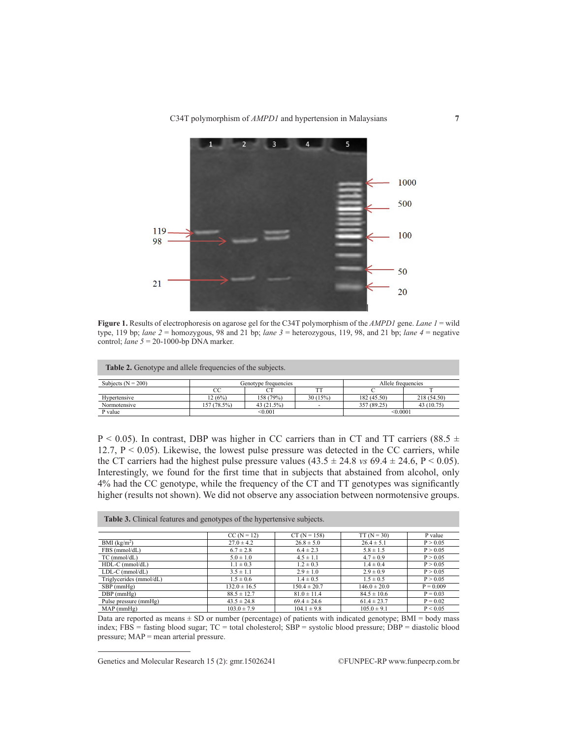

**Figure 1.** Results of electrophoresis on agarose gel for the C34T polymorphism of the *AMPD1* gene. *Lane 1* = wild type, 119 bp; *lane 2* = homozygous, 98 and 21 bp; *lane 3* = heterozygous, 119, 98, and 21 bp; *lane 4* = negative control; *lane 5* = 20-1000-bp DNA marker.

| <b>Table 2.</b> Genotype and allele frequencies of the subjects. |             |                      |         |             |                    |  |  |  |
|------------------------------------------------------------------|-------------|----------------------|---------|-------------|--------------------|--|--|--|
| Subjects ( $N = 200$ )                                           |             | Genotype frequencies |         |             | Allele frequencies |  |  |  |
|                                                                  | CC          |                      |         |             |                    |  |  |  |
| Hypertensive                                                     | 12 (6%)     | 158 (79%)            | 30(15%) | 182 (45.50) | 218 (54.50)        |  |  |  |
| Normotensive                                                     | 157 (78.5%) | 43 (21.5%)           |         | 357 (89.25) | 43 (10.75)         |  |  |  |
| P value                                                          |             | < 0.001              |         |             | < 0.0001           |  |  |  |

 $P < 0.05$ ). In contrast, DBP was higher in CC carriers than in CT and TT carriers (88.5  $\pm$ 12.7,  $P < 0.05$ ). Likewise, the lowest pulse pressure was detected in the CC carriers, while the CT carriers had the highest pulse pressure values  $(43.5 \pm 24.8 \text{ vs } 69.4 \pm 24.6, P \le 0.05)$ . Interestingly, we found for the first time that in subjects that abstained from alcohol, only 4% had the CC genotype, while the frequency of the CT and TT genotypes was significantly higher (results not shown). We did not observe any association between normotensive groups.

| <b>Table 3.</b> Clinical features and genotypes of the hypertensive subjects. |                  |                  |                  |             |  |  |  |  |
|-------------------------------------------------------------------------------|------------------|------------------|------------------|-------------|--|--|--|--|
|                                                                               | $CC (N = 12)$    | $CT (N = 158)$   | $TT(N = 30)$     | P value     |  |  |  |  |
| BMI (kg/m <sup>2</sup> )                                                      | $27.0 \pm 4.2$   | $26.8 \pm 5.0$   | $26.4 \pm 5.1$   | P > 0.05    |  |  |  |  |
| FBS (mmol/dL)                                                                 | $6.7 \pm 2.8$    | $6.4 \pm 2.3$    | $5.8 \pm 1.5$    | P > 0.05    |  |  |  |  |
| $TC$ (mmol/dL)                                                                | $5.0 \pm 1.0$    | $4.5 \pm 1.1$    | $4.7 \pm 0.9$    | P > 0.05    |  |  |  |  |
| $HDL-C$ (mmol/dL)                                                             | $1.1 \pm 0.3$    | $1.2 \pm 0.3$    | $1.4 \pm 0.4$    | P > 0.05    |  |  |  |  |
| $LDL-C$ ( $mmol/dL$ )                                                         | $3.5 \pm 1.1$    | $2.9 \pm 1.0$    | $2.9 \pm 0.9$    | P > 0.05    |  |  |  |  |
| Triglycerides (mmol/dL)                                                       | $1.5 \pm 0.6$    | $1.4 \pm 0.5$    | $1.5 \pm 0.5$    | P > 0.05    |  |  |  |  |
| $SBP$ (mmHg)                                                                  | $132.0 \pm 16.5$ | $150.4 \pm 20.7$ | $146.0 \pm 20.0$ | $P = 0.009$ |  |  |  |  |
| $DBP$ (mmHg)                                                                  | $88.5 \pm 12.7$  | $81.0 \pm 11.4$  | $84.5 \pm 10.6$  | $P = 0.03$  |  |  |  |  |
| Pulse pressure (mmHg)                                                         | $43.5 \pm 24.8$  | $69.4 \pm 24.6$  | $61.4 \pm 23.7$  | $P = 0.02$  |  |  |  |  |
| $MAP$ (mm $Hg$ )                                                              | $103.0 \pm 7.9$  | $104.1 \pm 9.8$  | $105.0 \pm 9.1$  | P < 0.05    |  |  |  |  |

Data are reported as means ± SD or number (percentage) of patients with indicated genotype; BMI = body mass index; FBS = fasting blood sugar; TC = total cholesterol; SBP = systolic blood pressure; DBP = diastolic blood pressure; MAP = mean arterial pressure.

Genetics and Molecular Research 15 (2): gmr.15026241 ©FUNPEC-RP www.funpecrp.com.br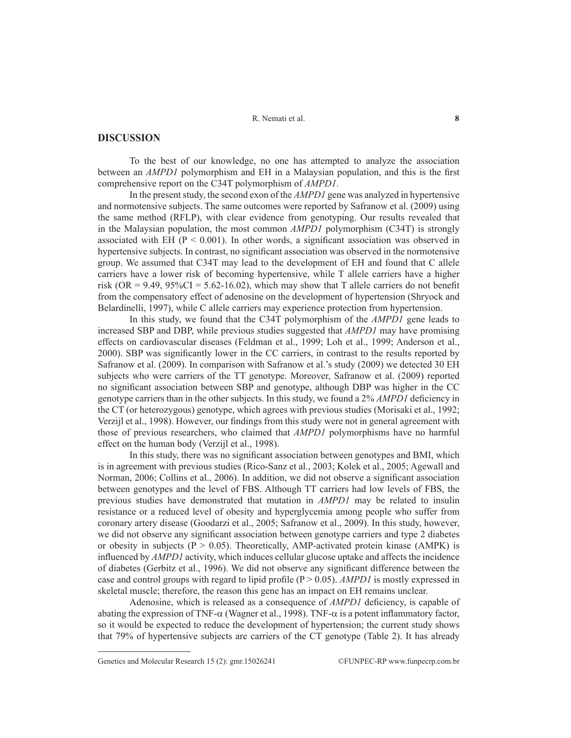# **DISCUSSION**

To the best of our knowledge, no one has attempted to analyze the association between an *AMPD1* polymorphism and EH in a Malaysian population, and this is the first comprehensive report on the C34T polymorphism of *AMPD1*.

In the present study, the second exon of the *AMPD1* gene was analyzed in hypertensive and normotensive subjects. The same outcomes were reported by Safranow et al. (2009) using the same method (RFLP), with clear evidence from genotyping. Our results revealed that in the Malaysian population, the most common *AMPD1* polymorphism (C34T) is strongly associated with EH ( $P < 0.001$ ). In other words, a significant association was observed in hypertensive subjects. In contrast, no significant association was observed in the normotensive group. We assumed that C34T may lead to the development of EH and found that C allele carriers have a lower risk of becoming hypertensive, while T allele carriers have a higher risk (OR = 9.49,  $95\%CI = 5.62-16.02$ ), which may show that T allele carriers do not benefit from the compensatory effect of adenosine on the development of hypertension (Shryock and Belardinelli, 1997), while C allele carriers may experience protection from hypertension.

In this study, we found that the C34T polymorphism of the *AMPD1* gene leads to increased SBP and DBP, while previous studies suggested that *AMPD1* may have promising effects on cardiovascular diseases (Feldman et al., 1999; Loh et al., 1999; Anderson et al., 2000). SBP was significantly lower in the CC carriers, in contrast to the results reported by Safranow et al. (2009). In comparison with Safranow et al.'s study (2009) we detected 30 EH subjects who were carriers of the TT genotype. Moreover, Safranow et al. (2009) reported no significant association between SBP and genotype, although DBP was higher in the CC genotype carriers than in the other subjects. In this study, we found a 2% *AMPD1* deficiency in the CT (or heterozygous) genotype, which agrees with previous studies (Morisaki et al., 1992; Verzijl et al., 1998). However, our findings from this study were not in general agreement with those of previous researchers, who claimed that *AMPD1* polymorphisms have no harmful effect on the human body (Verzijl et al., 1998).

In this study, there was no significant association between genotypes and BMI, which is in agreement with previous studies (Rico-Sanz et al., 2003; Kolek et al., 2005; Agewall and Norman, 2006; Collins et al., 2006). In addition, we did not observe a significant association between genotypes and the level of FBS. Although TT carriers had low levels of FBS, the previous studies have demonstrated that mutation in *AMPD1* may be related to insulin resistance or a reduced level of obesity and hyperglycemia among people who suffer from coronary artery disease (Goodarzi et al., 2005; Safranow et al., 2009). In this study, however, we did not observe any significant association between genotype carriers and type 2 diabetes or obesity in subjects ( $P > 0.05$ ). Theoretically, AMP-activated protein kinase (AMPK) is influenced by *AMPD1* activity, which induces cellular glucose uptake and affects the incidence of diabetes (Gerbitz et al., 1996). We did not observe any significant difference between the case and control groups with regard to lipid profile  $(P > 0.05)$ . *AMPD1* is mostly expressed in skeletal muscle; therefore, the reason this gene has an impact on EH remains unclear.

Adenosine, which is released as a consequence of *AMPD1* deficiency, is capable of abating the expression of TNF-α (Wagner et al., 1998). TNF-α is a potent inflammatory factor, so it would be expected to reduce the development of hypertension; the current study shows that 79% of hypertensive subjects are carriers of the CT genotype (Table 2). It has already

Genetics and Molecular Research 15 (2): gmr.15026241 ©FUNPEC-RP www.funpecrp.com.br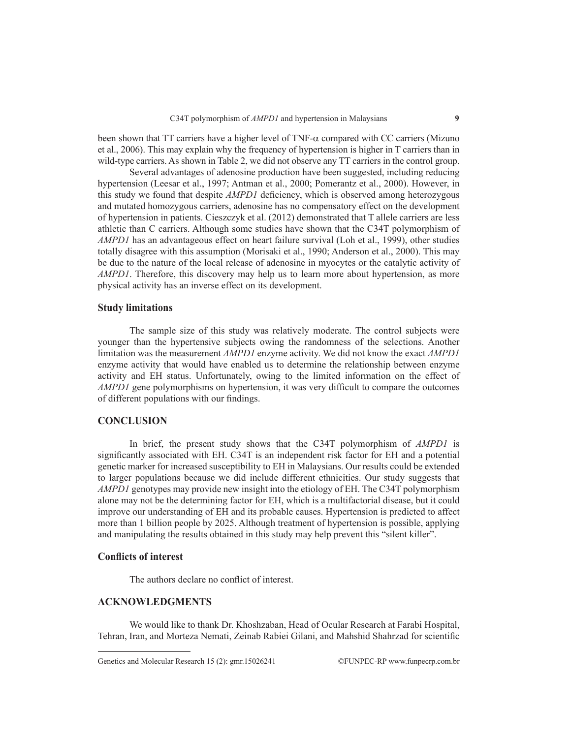been shown that TT carriers have a higher level of TNF-α compared with CC carriers (Mizuno et al., 2006). This may explain why the frequency of hypertension is higher in T carriers than in wild-type carriers. As shown in Table 2, we did not observe any TT carriers in the control group.

Several advantages of adenosine production have been suggested, including reducing hypertension (Leesar et al., 1997; Antman et al., 2000; Pomerantz et al., 2000). However, in this study we found that despite *AMPD1* deficiency, which is observed among heterozygous and mutated homozygous carriers, adenosine has no compensatory effect on the development of hypertension in patients. Cieszczyk et al. (2012) demonstrated that T allele carriers are less athletic than C carriers. Although some studies have shown that the C34T polymorphism of *AMPD1* has an advantageous effect on heart failure survival (Loh et al., 1999), other studies totally disagree with this assumption (Morisaki et al., 1990; Anderson et al., 2000). This may be due to the nature of the local release of adenosine in myocytes or the catalytic activity of *AMPD1*. Therefore, this discovery may help us to learn more about hypertension, as more physical activity has an inverse effect on its development.

# **Study limitations**

The sample size of this study was relatively moderate. The control subjects were younger than the hypertensive subjects owing the randomness of the selections. Another limitation was the measurement *AMPD1* enzyme activity. We did not know the exact *AMPD1* enzyme activity that would have enabled us to determine the relationship between enzyme activity and EH status. Unfortunately, owing to the limited information on the effect of *AMPD1* gene polymorphisms on hypertension, it was very difficult to compare the outcomes of different populations with our findings.

## **CONCLUSION**

In brief, the present study shows that the C34T polymorphism of *AMPD1* is significantly associated with EH. C34T is an independent risk factor for EH and a potential genetic marker for increased susceptibility to EH in Malaysians. Our results could be extended to larger populations because we did include different ethnicities. Our study suggests that *AMPD1* genotypes may provide new insight into the etiology of EH. The C34T polymorphism alone may not be the determining factor for EH, which is a multifactorial disease, but it could improve our understanding of EH and its probable causes. Hypertension is predicted to affect more than 1 billion people by 2025. Although treatment of hypertension is possible, applying and manipulating the results obtained in this study may help prevent this "silent killer".

#### **Conflicts of interest**

The authors declare no conflict of interest.

# **ACKNOWLEDGMENTS**

We would like to thank Dr. Khoshzaban, Head of Ocular Research at Farabi Hospital, Tehran, Iran, and Morteza Nemati, Zeinab Rabiei Gilani, and Mahshid Shahrzad for scientific

Genetics and Molecular Research 15 (2): gmr.15026241 ©FUNPEC-RP www.funpecrp.com.br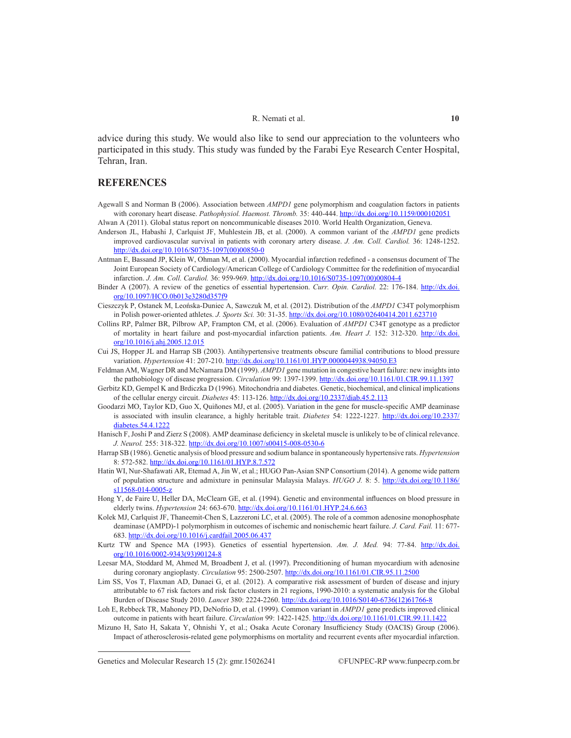advice during this study. We would also like to send our appreciation to the volunteers who participated in this study. This study was funded by the Farabi Eye Research Center Hospital, Tehran, Iran.

# **REFERENCES**

- Agewall S and Norman B (2006). Association between *AMPD1* gene polymorphism and coagulation factors in patients with coronary heart disease. *Pathophysiol. Haemost. Thromb.* 35: 440-444. http://dx.doi.org/10.1159/000102051 Alwan A (2011). Global status report on noncommunicable diseases 2010. World Health Organization, Geneva.
- Anderson JL, Habashi J, Carlquist JF, Muhlestein JB, et al. (2000). A common variant of the *AMPD1* gene predicts improved cardiovascular survival in patients with coronary artery disease. *J. Am. Coll. Cardiol.* 36: 1248-1252. http://dx.doi.org/10.1016/S0735-1097(00)00850-0
- Antman E, Bassand JP, Klein W, Ohman M, et al. (2000). Myocardial infarction redefined a consensus document of The Joint European Society of Cardiology/American College of Cardiology Committee for the redefinition of myocardial infarction. *J. Am. Coll. Cardiol.* 36: 959-969. http://dx.doi.org/10.1016/S0735-1097(00)00804-4
- Binder A (2007). A review of the genetics of essential hypertension. *Curr. Opin. Cardiol.* 22: 176-184. http://dx.doi. org/10.1097/HCO.0b013e3280d357f9
- Cieszczyk P, Ostanek M, Leońska-Duniec A, Sawczuk M, et al. (2012). Distribution of the *AMPD1* C34T polymorphism in Polish power-oriented athletes. *J. Sports Sci.* 30: 31-35. http://dx.doi.org/10.1080/02640414.2011.623710
- Collins RP, Palmer BR, Pilbrow AP, Frampton CM, et al. (2006). Evaluation of *AMPD1* C34T genotype as a predictor of mortality in heart failure and post-myocardial infarction patients. *Am. Heart J.* 152: 312-320. http://dx.doi. org/10.1016/j.ahj.2005.12.015
- Cui JS, Hopper JL and Harrap SB (2003). Antihypertensive treatments obscure familial contributions to blood pressure variation. *Hypertension* 41: 207-210. http://dx.doi.org/10.1161/01.HYP.0000044938.94050.E3
- Feldman AM, Wagner DR and McNamara DM (1999). *AMPD1* gene mutation in congestive heart failure: new insights into the pathobiology of disease progression. *Circulation* 99: 1397-1399. http://dx.doi.org/10.1161/01.CIR.99.11.1397
- Gerbitz KD, Gempel K and Brdiczka D (1996). Mitochondria and diabetes. Genetic, biochemical, and clinical implications of the cellular energy circuit. *Diabetes* 45: 113-126. http://dx.doi.org/10.2337/diab.45.2.113
- Goodarzi MO, Taylor KD, Guo X, Quiñones MJ, et al. (2005). Variation in the gene for muscle-specific AMP deaminase is associated with insulin clearance, a highly heritable trait. *Diabetes* 54: 1222-1227. http://dx.doi.org/10.2337/ diabetes.54.4.1222
- Hanisch F, Joshi P and Zierz S (2008). AMP deaminase deficiency in skeletal muscle is unlikely to be of clinical relevance. *J. Neurol.* 255: 318-322. http://dx.doi.org/10.1007/s00415-008-0530-6
- Harrap SB (1986). Genetic analysis of blood pressure and sodium balance in spontaneously hypertensive rats. *Hypertension* 8: 572-582. http://dx.doi.org/10.1161/01.HYP.8.7.572
- Hatin WI, Nur-Shafawati AR, Etemad A, Jin W, et al.; HUGO Pan-Asian SNP Consortium (2014). A genome wide pattern of population structure and admixture in peninsular Malaysia Malays. *HUGO J.* 8: 5. http://dx.doi.org/10.1186/ s11568-014-0005-z
- Hong Y, de Faire U, Heller DA, McClearn GE, et al. (1994). Genetic and environmental influences on blood pressure in elderly twins. *Hypertension* 24: 663-670. http://dx.doi.org/10.1161/01.HYP.24.6.663
- Kolek MJ, Carlquist JF, Thaneemit-Chen S, Lazzeroni LC, et al. (2005). The role of a common adenosine monophosphate deaminase (AMPD)-1 polymorphism in outcomes of ischemic and nonischemic heart failure. *J. Card. Fail.* 11: 677- 683. http://dx.doi.org/10.1016/j.cardfail.2005.06.437
- Kurtz TW and Spence MA (1993). Genetics of essential hypertension. Am. J. Med. 94: 77-84. http://dx.doi. org/10.1016/0002-9343(93)90124-8
- Leesar MA, Stoddard M, Ahmed M, Broadbent J, et al. (1997). Preconditioning of human myocardium with adenosine during coronary angioplasty. *Circulation* 95: 2500-2507. http://dx.doi.org/10.1161/01.CIR.95.11.2500
- Lim SS, Vos T, Flaxman AD, Danaei G, et al. (2012). A comparative risk assessment of burden of disease and injury attributable to 67 risk factors and risk factor clusters in 21 regions, 1990-2010: a systematic analysis for the Global Burden of Disease Study 2010. *Lancet* 380: 2224-2260. http://dx.doi.org/10.1016/S0140-6736(12)61766-8
- Loh E, Rebbeck TR, Mahoney PD, DeNofrio D, et al. (1999). Common variant in *AMPD1* gene predicts improved clinical outcome in patients with heart failure. *Circulation* 99: 1422-1425. http://dx.doi.org/10.1161/01.CIR.99.11.1422
- Mizuno H, Sato H, Sakata Y, Ohnishi Y, et al.; Osaka Acute Coronary Insufficiency Study (OACIS) Group (2006). Impact of atherosclerosis-related gene polymorphisms on mortality and recurrent events after myocardial infarction.

Genetics and Molecular Research 15 (2): gmr.15026241 ©FUNPEC-RP www.funpecrp.com.br